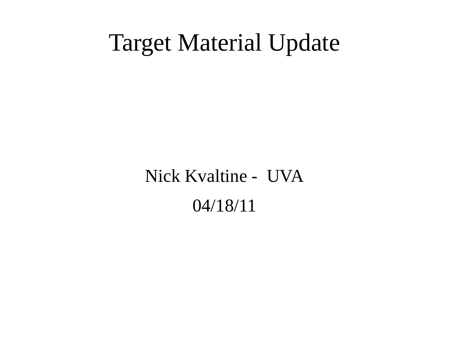#### Target Material Update

Nick Kvaltine - UVA 04/18/11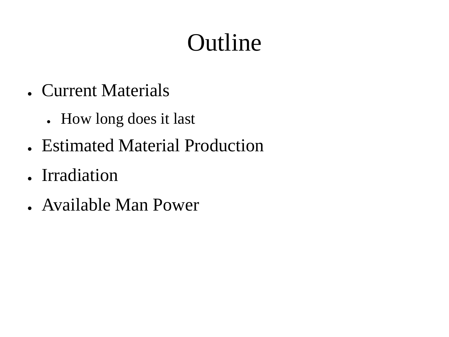# Outline

- Current Materials
	- How long does it last
- Estimated Material Production
- Irradiation
- Available Man Power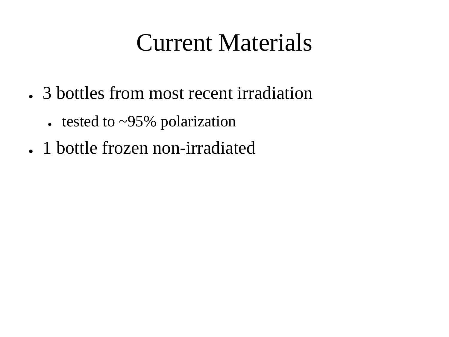### Current Materials

- 3 bottles from most recent irradiation
	- tested to  $\sim$ 95% polarization
- 1 bottle frozen non-irradiated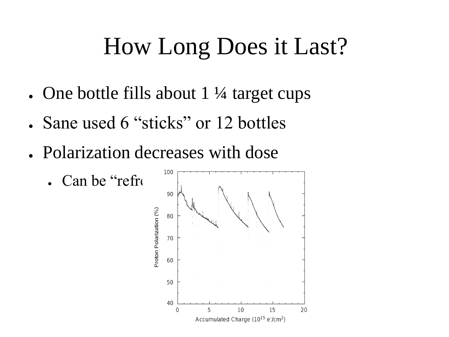## How Long Does it Last?

- One bottle fills about  $1\frac{1}{4}$  target cups
- Sane used 6 "sticks" or 12 bottles
- Polarization decreases with dose
	- Can be "refr $\mathfrak{c}$ "

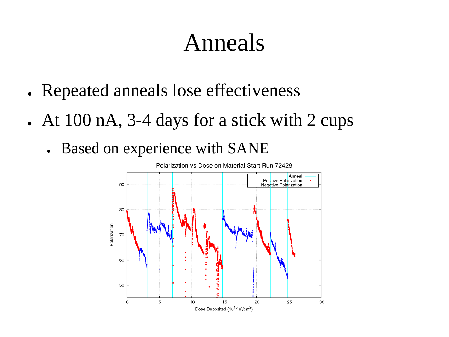#### Anneals

- Repeated anneals lose effectiveness
- At  $100$  nA,  $3-4$  days for a stick with 2 cups
	- Based on experience with SANE

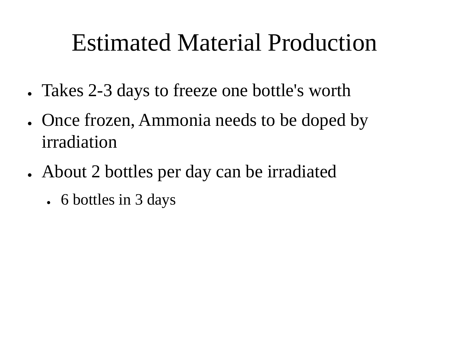### Estimated Material Production

- Takes 2-3 days to freeze one bottle's worth
- Once frozen, Ammonia needs to be doped by irradiation
- About 2 bottles per day can be irradiated
	- $\cdot$  6 bottles in 3 days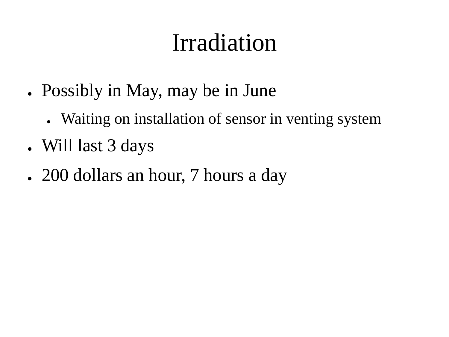# Irradiation

- Possibly in May, may be in June
	- Waiting on installation of sensor in venting system
- Will last 3 days
- 200 dollars an hour, 7 hours a day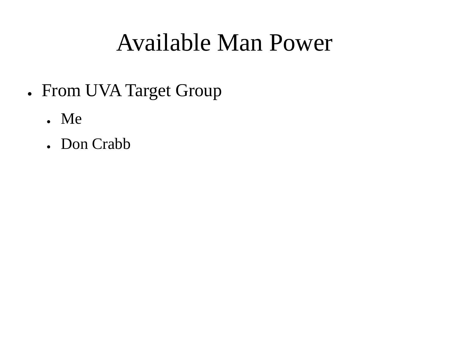### Available Man Power

- From UVA Target Group
	- Me
	- Don Crabb